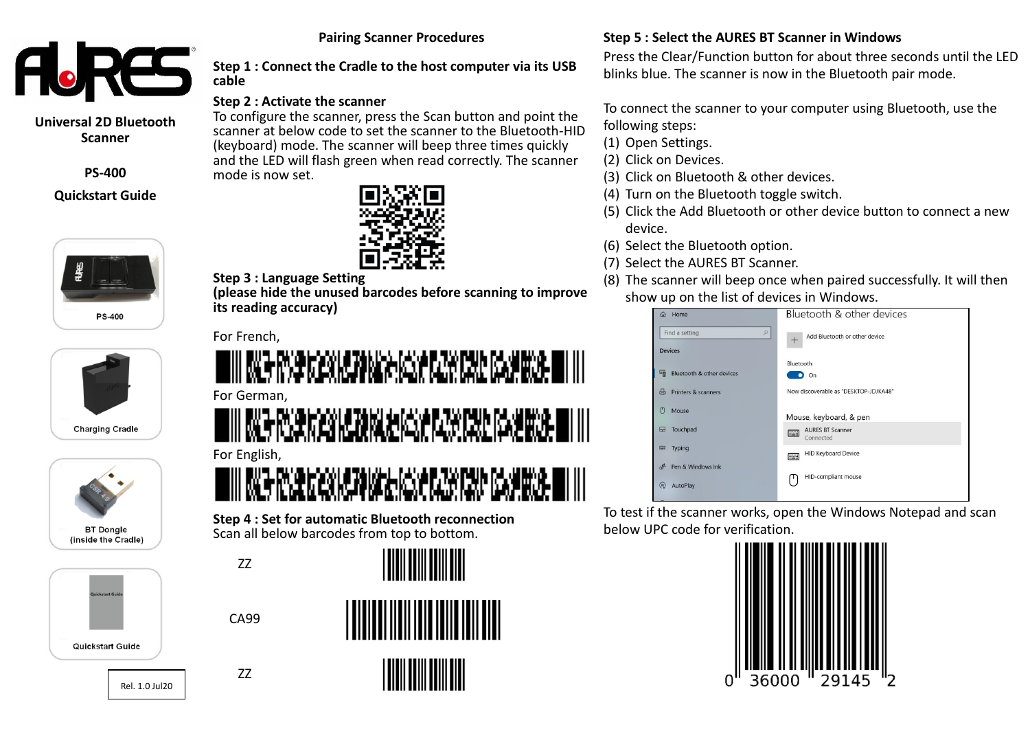

**Universal 2D Bluetooth Scanner**

**PS-400**

## **Quickstart Guide**









# Rel. 1.0 Jul20



77

CA99

# **Step 1 : Connect the Cradle to the host computer via its USB**

**Pairing Scanner Procedures**

## **Step 2 : Activate the scanner**

To configure the scanner, press the Scan button and point the scanner at below code to set the scanner to the Bluetooth-HID (keyboard) mode. The scanner will beep three times quickly and the LED will flash green when read correctly. The scanner mode is now set.



## **Step 3 : Language Setting**

**(please hide the unused barcodes before scanning to improve its reading accuracy)**

For French,

**cable**

# III ME RVE KERLENNE GRAFIEK PAR DE SANDA I III For German,

ING MAKAMBANA MANGKAN PALAMA DI ILI For English,

(想称随意接受保护保护保护服务 - 111

**Step 4 : Set for automatic Bluetooth reconnection** Scan all below barcodes from top to bottom.



<u>||||||||||||||||||</u>



## **Step 5 : Select the AURES BT Scanner in Windows**

Press the Clear/Function button for about three seconds until the LED blinks blue. The scanner is now in the Bluetooth pair mode.

To connect the scanner to your computer using Bluetooth, use the following steps:

- (1) Open Settings.
- (2) Click on Devices.
- (3) Click on Bluetooth & other devices.
- (4) Turn on the Bluetooth toggle switch.
- (5) Click the Add Bluetooth or other device button to connect a new device.
- (6) Select the Bluetooth option.
- (7) Select the AURES BT Scanner.
- (8) The scanner will beep once when paired successfully. It will then show up on the list of devices in Windows.

| Home<br>夼                                     | Bluetooth & other devices                 |
|-----------------------------------------------|-------------------------------------------|
| $\varphi$<br>Find a setting<br><b>Devices</b> | Add Bluetooth or other device             |
|                                               | Bluetooth                                 |
| 嚼<br>Bluetooth & other devices                | o<br>On                                   |
| 咼<br>Printers & scanners                      | Now discoverable as "DESKTOP-JDJKA48"     |
| O<br>Mouse                                    | Mouse, keyboard, & pen                    |
| Touchpad<br>⊟                                 | <b>AURES BT Scanner</b><br>陘<br>Connected |
| Typing<br>國                                   | <b>HID Keyboard Device</b><br>匷           |
| Pen & Windows Ink<br>בראי                     |                                           |
| $\odot$<br>AutoPlay                           | HID-compliant mouse                       |

To test if the scanner works, open the Windows Notepad and scan below UPC code for verification.